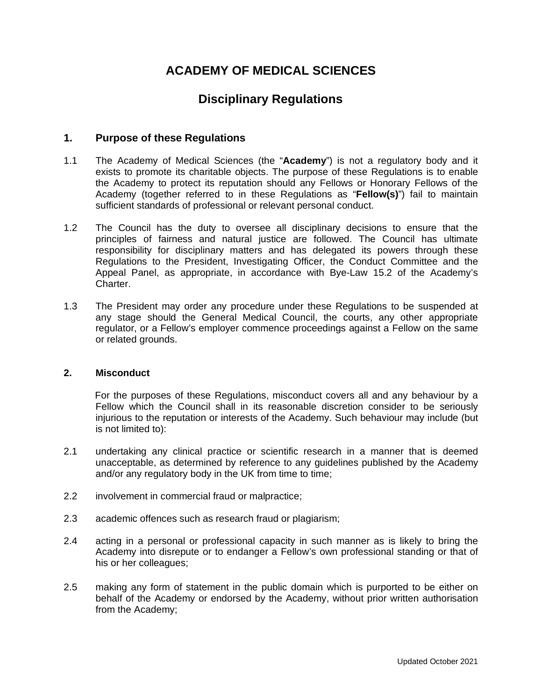# **ACADEMY OF MEDICAL SCIENCES**

# **Disciplinary Regulations**

## **1. Purpose of these Regulations**

- 1.1 The Academy of Medical Sciences (the "**Academy**") is not a regulatory body and it exists to promote its charitable objects. The purpose of these Regulations is to enable the Academy to protect its reputation should any Fellows or Honorary Fellows of the Academy (together referred to in these Regulations as "**Fellow(s)**") fail to maintain sufficient standards of professional or relevant personal conduct.
- 1.2 The Council has the duty to oversee all disciplinary decisions to ensure that the principles of fairness and natural justice are followed. The Council has ultimate responsibility for disciplinary matters and has delegated its powers through these Regulations to the President, Investigating Officer, the Conduct Committee and the Appeal Panel, as appropriate, in accordance with Bye-Law 15.2 of the Academy's Charter.
- 1.3 The President may order any procedure under these Regulations to be suspended at any stage should the General Medical Council, the courts, any other appropriate regulator, or a Fellow's employer commence proceedings against a Fellow on the same or related grounds.

#### **2. Misconduct**

For the purposes of these Regulations, misconduct covers all and any behaviour by a Fellow which the Council shall in its reasonable discretion consider to be seriously injurious to the reputation or interests of the Academy. Such behaviour may include (but is not limited to):

- 2.1 undertaking any clinical practice or scientific research in a manner that is deemed unacceptable, as determined by reference to any guidelines published by the Academy and/or any regulatory body in the UK from time to time;
- 2.2 involvement in commercial fraud or malpractice;
- 2.3 academic offences such as research fraud or plagiarism;
- 2.4 acting in a personal or professional capacity in such manner as is likely to bring the Academy into disrepute or to endanger a Fellow's own professional standing or that of his or her colleagues;
- 2.5 making any form of statement in the public domain which is purported to be either on behalf of the Academy or endorsed by the Academy, without prior written authorisation from the Academy;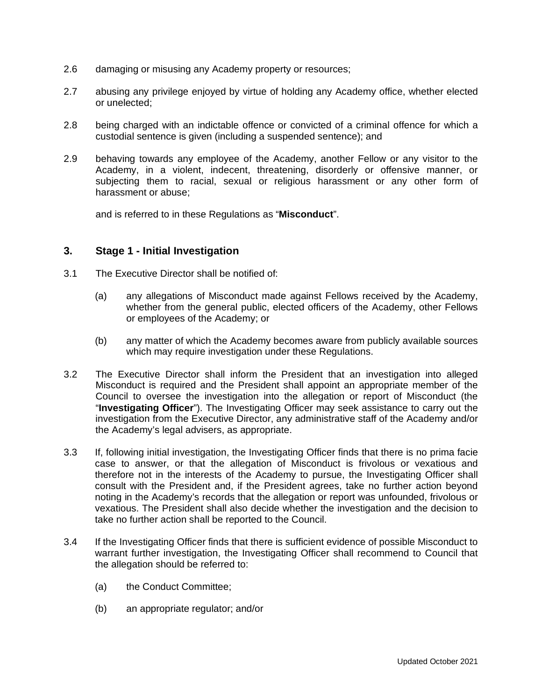- 2.6 damaging or misusing any Academy property or resources;
- 2.7 abusing any privilege enjoyed by virtue of holding any Academy office, whether elected or unelected;
- 2.8 being charged with an indictable offence or convicted of a criminal offence for which a custodial sentence is given (including a suspended sentence); and
- 2.9 behaving towards any employee of the Academy, another Fellow or any visitor to the Academy, in a violent, indecent, threatening, disorderly or offensive manner, or subjecting them to racial, sexual or religious harassment or any other form of harassment or abuse;

and is referred to in these Regulations as "**Misconduct**".

### **3. Stage 1 - Initial Investigation**

- 3.1 The Executive Director shall be notified of:
	- (a) any allegations of Misconduct made against Fellows received by the Academy, whether from the general public, elected officers of the Academy, other Fellows or employees of the Academy; or
	- (b) any matter of which the Academy becomes aware from publicly available sources which may require investigation under these Regulations.
- 3.2 The Executive Director shall inform the President that an investigation into alleged Misconduct is required and the President shall appoint an appropriate member of the Council to oversee the investigation into the allegation or report of Misconduct (the "**Investigating Officer**"). The Investigating Officer may seek assistance to carry out the investigation from the Executive Director, any administrative staff of the Academy and/or the Academy's legal advisers, as appropriate.
- 3.3 If, following initial investigation, the Investigating Officer finds that there is no prima facie case to answer, or that the allegation of Misconduct is frivolous or vexatious and therefore not in the interests of the Academy to pursue, the Investigating Officer shall consult with the President and, if the President agrees, take no further action beyond noting in the Academy's records that the allegation or report was unfounded, frivolous or vexatious. The President shall also decide whether the investigation and the decision to take no further action shall be reported to the Council.
- 3.4 If the Investigating Officer finds that there is sufficient evidence of possible Misconduct to warrant further investigation, the Investigating Officer shall recommend to Council that the allegation should be referred to:
	- (a) the Conduct Committee;
	- (b) an appropriate regulator; and/or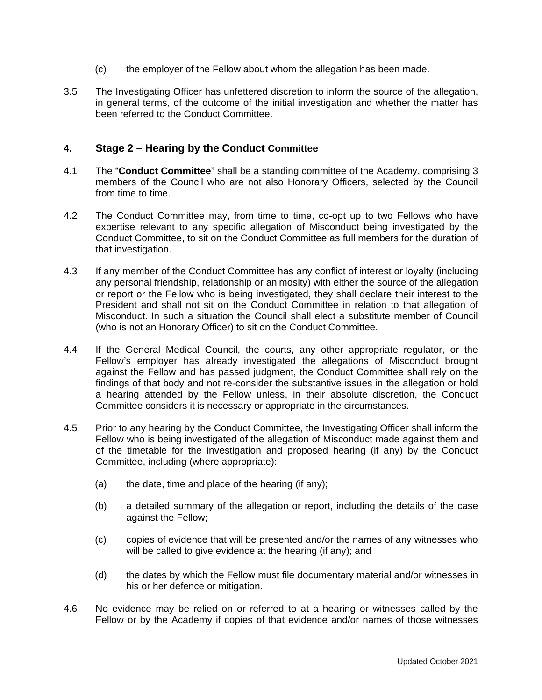- (c) the employer of the Fellow about whom the allegation has been made.
- 3.5 The Investigating Officer has unfettered discretion to inform the source of the allegation, in general terms, of the outcome of the initial investigation and whether the matter has been referred to the Conduct Committee.

### **4. Stage 2 – Hearing by the Conduct Committee**

- 4.1 The "**Conduct Committee**" shall be a standing committee of the Academy, comprising 3 members of the Council who are not also Honorary Officers, selected by the Council from time to time.
- 4.2 The Conduct Committee may, from time to time, co-opt up to two Fellows who have expertise relevant to any specific allegation of Misconduct being investigated by the Conduct Committee, to sit on the Conduct Committee as full members for the duration of that investigation.
- 4.3 If any member of the Conduct Committee has any conflict of interest or loyalty (including any personal friendship, relationship or animosity) with either the source of the allegation or report or the Fellow who is being investigated, they shall declare their interest to the President and shall not sit on the Conduct Committee in relation to that allegation of Misconduct. In such a situation the Council shall elect a substitute member of Council (who is not an Honorary Officer) to sit on the Conduct Committee.
- 4.4 If the General Medical Council, the courts, any other appropriate regulator, or the Fellow's employer has already investigated the allegations of Misconduct brought against the Fellow and has passed judgment, the Conduct Committee shall rely on the findings of that body and not re-consider the substantive issues in the allegation or hold a hearing attended by the Fellow unless, in their absolute discretion, the Conduct Committee considers it is necessary or appropriate in the circumstances.
- 4.5 Prior to any hearing by the Conduct Committee, the Investigating Officer shall inform the Fellow who is being investigated of the allegation of Misconduct made against them and of the timetable for the investigation and proposed hearing (if any) by the Conduct Committee, including (where appropriate):
	- (a) the date, time and place of the hearing (if any);
	- (b) a detailed summary of the allegation or report, including the details of the case against the Fellow;
	- (c) copies of evidence that will be presented and/or the names of any witnesses who will be called to give evidence at the hearing (if any); and
	- (d) the dates by which the Fellow must file documentary material and/or witnesses in his or her defence or mitigation.
- 4.6 No evidence may be relied on or referred to at a hearing or witnesses called by the Fellow or by the Academy if copies of that evidence and/or names of those witnesses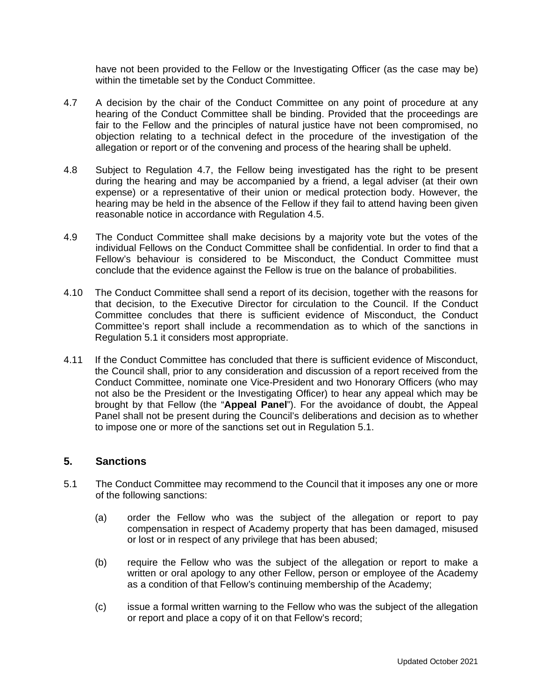have not been provided to the Fellow or the Investigating Officer (as the case may be) within the timetable set by the Conduct Committee.

- 4.7 A decision by the chair of the Conduct Committee on any point of procedure at any hearing of the Conduct Committee shall be binding. Provided that the proceedings are fair to the Fellow and the principles of natural justice have not been compromised, no objection relating to a technical defect in the procedure of the investigation of the allegation or report or of the convening and process of the hearing shall be upheld.
- 4.8 Subject to Regulation 4.7, the Fellow being investigated has the right to be present during the hearing and may be accompanied by a friend, a legal adviser (at their own expense) or a representative of their union or medical protection body. However, the hearing may be held in the absence of the Fellow if they fail to attend having been given reasonable notice in accordance with Regulation 4.5.
- 4.9 The Conduct Committee shall make decisions by a majority vote but the votes of the individual Fellows on the Conduct Committee shall be confidential. In order to find that a Fellow's behaviour is considered to be Misconduct, the Conduct Committee must conclude that the evidence against the Fellow is true on the balance of probabilities.
- 4.10 The Conduct Committee shall send a report of its decision, together with the reasons for that decision, to the Executive Director for circulation to the Council. If the Conduct Committee concludes that there is sufficient evidence of Misconduct, the Conduct Committee's report shall include a recommendation as to which of the sanctions in Regulation 5.1 it considers most appropriate.
- 4.11 If the Conduct Committee has concluded that there is sufficient evidence of Misconduct, the Council shall, prior to any consideration and discussion of a report received from the Conduct Committee, nominate one Vice-President and two Honorary Officers (who may not also be the President or the Investigating Officer) to hear any appeal which may be brought by that Fellow (the "**Appeal Panel**"). For the avoidance of doubt, the Appeal Panel shall not be present during the Council's deliberations and decision as to whether to impose one or more of the sanctions set out in Regulation 5.1.

### **5. Sanctions**

- 5.1 The Conduct Committee may recommend to the Council that it imposes any one or more of the following sanctions:
	- (a) order the Fellow who was the subject of the allegation or report to pay compensation in respect of Academy property that has been damaged, misused or lost or in respect of any privilege that has been abused;
	- (b) require the Fellow who was the subject of the allegation or report to make a written or oral apology to any other Fellow, person or employee of the Academy as a condition of that Fellow's continuing membership of the Academy;
	- (c) issue a formal written warning to the Fellow who was the subject of the allegation or report and place a copy of it on that Fellow's record;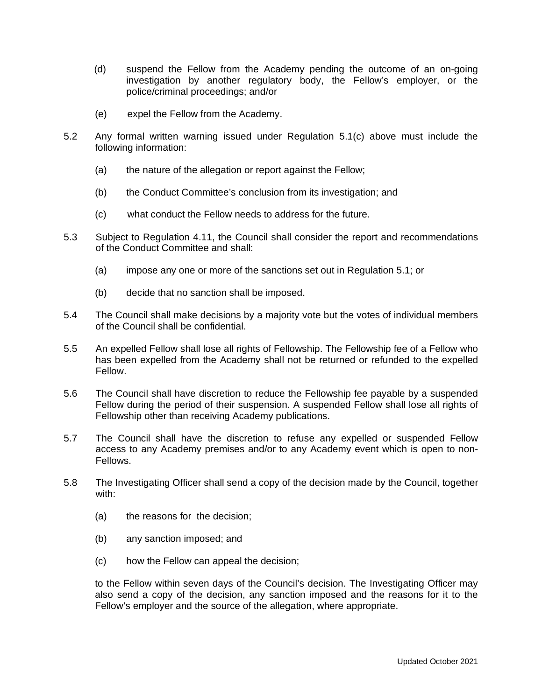- (d) suspend the Fellow from the Academy pending the outcome of an on-going investigation by another regulatory body, the Fellow's employer, or the police/criminal proceedings; and/or
- (e) expel the Fellow from the Academy.
- 5.2 Any formal written warning issued under Regulation 5.1(c) above must include the following information:
	- (a) the nature of the allegation or report against the Fellow;
	- (b) the Conduct Committee's conclusion from its investigation; and
	- (c) what conduct the Fellow needs to address for the future.
- 5.3 Subject to Regulation 4.11, the Council shall consider the report and recommendations of the Conduct Committee and shall:
	- (a) impose any one or more of the sanctions set out in Regulation 5.1; or
	- (b) decide that no sanction shall be imposed.
- 5.4 The Council shall make decisions by a majority vote but the votes of individual members of the Council shall be confidential.
- 5.5 An expelled Fellow shall lose all rights of Fellowship. The Fellowship fee of a Fellow who has been expelled from the Academy shall not be returned or refunded to the expelled Fellow.
- 5.6 The Council shall have discretion to reduce the Fellowship fee payable by a suspended Fellow during the period of their suspension. A suspended Fellow shall lose all rights of Fellowship other than receiving Academy publications.
- 5.7 The Council shall have the discretion to refuse any expelled or suspended Fellow access to any Academy premises and/or to any Academy event which is open to non-Fellows.
- 5.8 The Investigating Officer shall send a copy of the decision made by the Council, together with:
	- (a) the reasons for the decision;
	- (b) any sanction imposed; and
	- (c) how the Fellow can appeal the decision;

to the Fellow within seven days of the Council's decision. The Investigating Officer may also send a copy of the decision, any sanction imposed and the reasons for it to the Fellow's employer and the source of the allegation, where appropriate.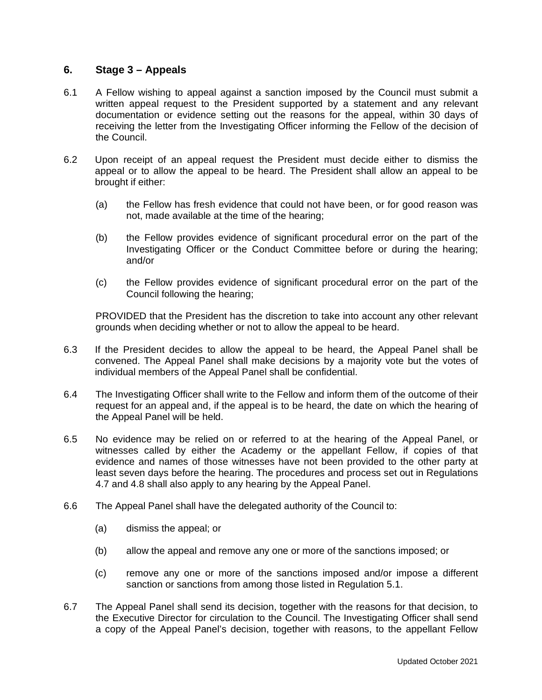### **6. Stage 3 – Appeals**

- 6.1 A Fellow wishing to appeal against a sanction imposed by the Council must submit a written appeal request to the President supported by a statement and any relevant documentation or evidence setting out the reasons for the appeal, within 30 days of receiving the letter from the Investigating Officer informing the Fellow of the decision of the Council.
- 6.2 Upon receipt of an appeal request the President must decide either to dismiss the appeal or to allow the appeal to be heard. The President shall allow an appeal to be brought if either:
	- (a) the Fellow has fresh evidence that could not have been, or for good reason was not, made available at the time of the hearing;
	- (b) the Fellow provides evidence of significant procedural error on the part of the Investigating Officer or the Conduct Committee before or during the hearing; and/or
	- (c) the Fellow provides evidence of significant procedural error on the part of the Council following the hearing;

PROVIDED that the President has the discretion to take into account any other relevant grounds when deciding whether or not to allow the appeal to be heard.

- 6.3 If the President decides to allow the appeal to be heard, the Appeal Panel shall be convened. The Appeal Panel shall make decisions by a majority vote but the votes of individual members of the Appeal Panel shall be confidential.
- 6.4 The Investigating Officer shall write to the Fellow and inform them of the outcome of their request for an appeal and, if the appeal is to be heard, the date on which the hearing of the Appeal Panel will be held.
- 6.5 No evidence may be relied on or referred to at the hearing of the Appeal Panel, or witnesses called by either the Academy or the appellant Fellow, if copies of that evidence and names of those witnesses have not been provided to the other party at least seven days before the hearing. The procedures and process set out in Regulations 4.7 and 4.8 shall also apply to any hearing by the Appeal Panel.
- 6.6 The Appeal Panel shall have the delegated authority of the Council to:
	- (a) dismiss the appeal; or
	- (b) allow the appeal and remove any one or more of the sanctions imposed; or
	- (c) remove any one or more of the sanctions imposed and/or impose a different sanction or sanctions from among those listed in Regulation 5.1.
- 6.7 The Appeal Panel shall send its decision, together with the reasons for that decision, to the Executive Director for circulation to the Council. The Investigating Officer shall send a copy of the Appeal Panel's decision, together with reasons, to the appellant Fellow